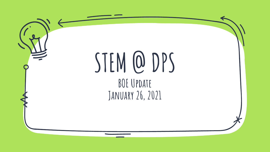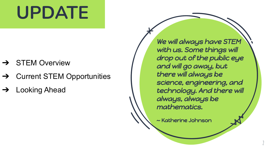## **UPDATE**

- **STEM Overview**
- ➔ Current STEM Opportunities
- **Looking Ahead**

We will always have STEM with us. Some things will drop out of the public eye and will go away, but there will always be science, engineering, and technology. And there will always, always be mathematics.

~ Katherine Johnson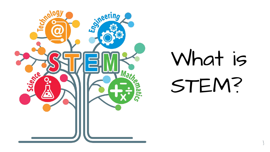

# What is STEM?

**3**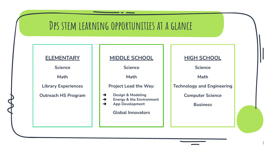### **Dps stem learning opportunities at a glance**

#### **ELEMENTARY**

**Science**

**Math**

**Library Experiences**

**Outreach HS Program**

**MIDDLE SCHOOL**

**Science**

**Math**

**Project Lead the Way:**

- ➔ **Design & Modeling**
- ➔ **Energy & the Environment**
- ➔ **App Development**

**Global Innovators**

**HIGH SCHOOL**

**Science** 

**Math**

**Technology and Engineering**

**Computer Science**

**Business**

**4**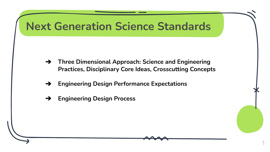

➔ **Three Dimensional Approach: Science and Engineering Practices, Disciplinary Core Ideas, Crosscutting Concepts**

**5**

- ➔ **Engineering Design Performance Expectations**
- ➔ **Engineering Design Process**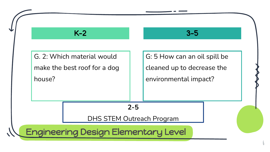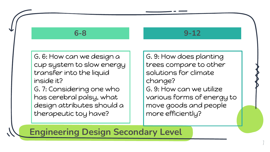#### **6-8**

#### **9-12**

G. 6: How can we design a cup system to slow energy transfer into the liquid inside it?

G. 7: Considering one who has cerebral palsy, what design attributes should a therapeutic toy have?

G. 9: How does planting trees compare to other solutions for climate change? G. 9: How can we utilize various forms of energy to move goods and people more efficiently?

**7**

**Engineering Design Secondary Level**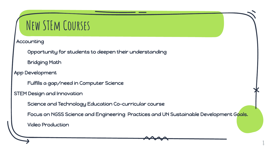## **New STEm Courses**

**Accounting** 

Opportunity for students to deepen their understanding

Bridging Math

App Development

Fulfills a gap/need in Computer Science

STEM Design and Innovation

Science and Technology Education Co-curricular course

Focus on NGSS Science and Engineering Practices and UN Sustainable Development Goals.

**8**

Video Production